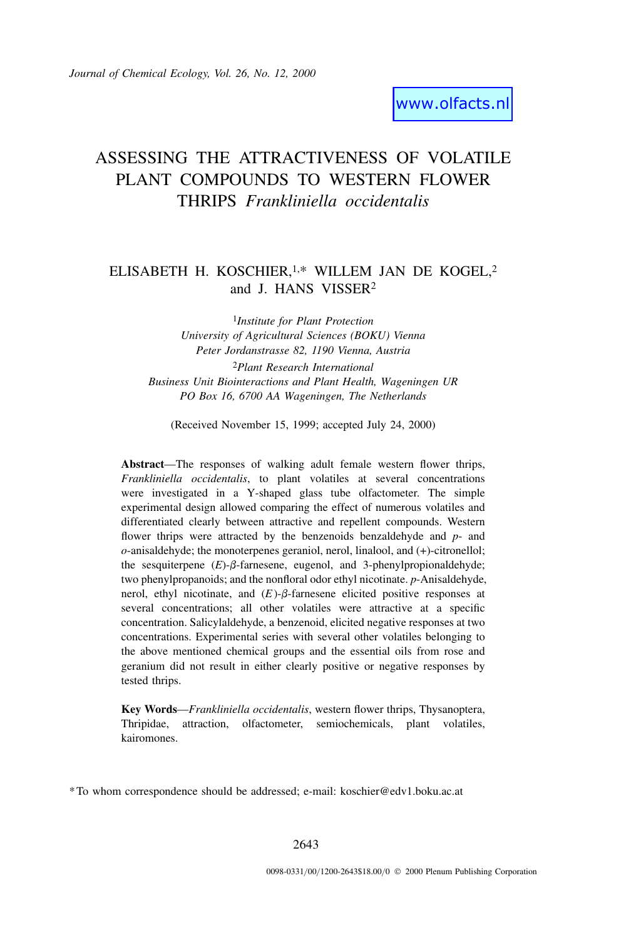# ASSESSING THE ATTRACTIVENESS OF VOLATILE PLANT COMPOUNDS TO WESTERN FLOWER THRIPS *Frankliniella occidentalis*

## ELISABETH H. KOSCHIER,<sup>1,\*</sup> WILLEM JAN DE KOGEL,<sup>2</sup> and J. HANS VISSER2

1*Institute for Plant Protection University of Agricultural Sciences (BOKU) Vienna Peter Jordanstrasse 82, 1190 Vienna, Austria* 2*Plant Research International Business Unit Biointeractions and Plant Health, Wageningen UR PO Box 16, 6700 AA Wageningen, The Netherlands*

(Received November 15, 1999; accepted July 24, 2000)

**Abstract**—The responses of walking adult female western flower thrips, *Frankliniella occidentalis*, to plant volatiles at several concentrations were investigated in a Y-shaped glass tube olfactometer. The simple experimental design allowed comparing the effect of numerous volatiles and differentiated clearly between attractive and repellent compounds. Western flower thrips were attracted by the benzenoids benzaldehyde and *p*- and *o*-anisaldehyde; the monoterpenes geraniol, nerol, linalool, and (+)-citronellol; the sesquiterpene  $(E)$ - $\beta$ -farnesene, eugenol, and 3-phenylpropionaldehyde; two phenylpropanoids; and the nonfloral odor ethyl nicotinate. *p*-Anisaldehyde, nerol, ethyl nicotinate, and  $(E)$ - $\beta$ -farnesene elicited positive responses at several concentrations; all other volatiles were attractive at a specific concentration. Salicylaldehyde, a benzenoid, elicited negative responses at two concentrations. Experimental series with several other volatiles belonging to the above mentioned chemical groups and the essential oils from rose and geranium did not result in either clearly positive or negative responses by tested thrips.

**Key Words**—*Frankliniella occidentalis*, western flower thrips, Thysanoptera, Thripidae, attraction, olfactometer, semiochemicals, plant volatiles, kairomones.

\*To whom correspondence should be addressed; e-mail: koschier@edv1.boku.ac.at

2643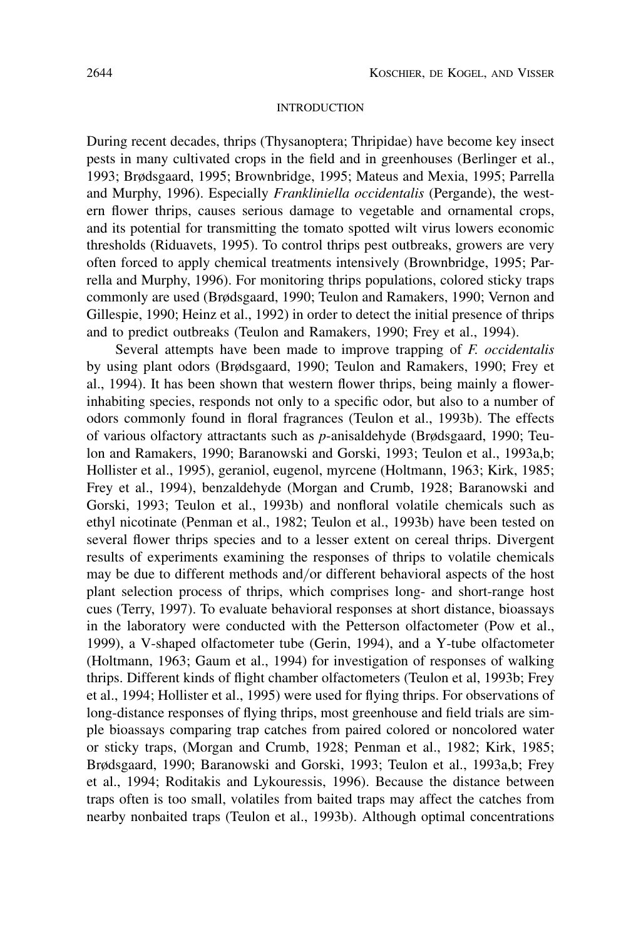## INTRODUCTION

During recent decades, thrips (Thysanoptera; Thripidae) have become key insect pests in many cultivated crops in the field and in greenhouses (Berlinger et al., 1993; Brødsgaard, 1995; Brownbridge, 1995; Mateus and Mexia, 1995; Parrella and Murphy, 1996). Especially *Frankliniella occidentalis* (Pergande), the western flower thrips, causes serious damage to vegetable and ornamental crops, and its potential for transmitting the tomato spotted wilt virus lowers economic thresholds (Riduavets, 1995). To control thrips pest outbreaks, growers are very often forced to apply chemical treatments intensively (Brownbridge, 1995; Parrella and Murphy, 1996). For monitoring thrips populations, colored sticky traps commonly are used (Brødsgaard, 1990; Teulon and Ramakers, 1990; Vernon and Gillespie, 1990; Heinz et al., 1992) in order to detect the initial presence of thrips and to predict outbreaks (Teulon and Ramakers, 1990; Frey et al., 1994).

Several attempts have been made to improve trapping of *F. occidentalis* by using plant odors (Brødsgaard, 1990; Teulon and Ramakers, 1990; Frey et al., 1994). It has been shown that western flower thrips, being mainly a flowerinhabiting species, responds not only to a specific odor, but also to a number of odors commonly found in floral fragrances (Teulon et al., 1993b). The effects of various olfactory attractants such as *p*-anisaldehyde (Brødsgaard, 1990; Teulon and Ramakers, 1990; Baranowski and Gorski, 1993; Teulon et al., 1993a,b; Hollister et al., 1995), geraniol, eugenol, myrcene (Holtmann, 1963; Kirk, 1985; Frey et al., 1994), benzaldehyde (Morgan and Crumb, 1928; Baranowski and Gorski, 1993; Teulon et al., 1993b) and nonfloral volatile chemicals such as ethyl nicotinate (Penman et al., 1982; Teulon et al., 1993b) have been tested on several flower thrips species and to a lesser extent on cereal thrips. Divergent results of experiments examining the responses of thrips to volatile chemicals may be due to different methods and/or different behavioral aspects of the host plant selection process of thrips, which comprises long- and short-range host cues (Terry, 1997). To evaluate behavioral responses at short distance, bioassays in the laboratory were conducted with the Petterson olfactometer (Pow et al., 1999), a V-shaped olfactometer tube (Gerin, 1994), and a Y-tube olfactometer (Holtmann, 1963; Gaum et al., 1994) for investigation of responses of walking thrips. Different kinds of flight chamber olfactometers (Teulon et al, 1993b; Frey et al., 1994; Hollister et al., 1995) were used for flying thrips. For observations of long-distance responses of flying thrips, most greenhouse and field trials are simple bioassays comparing trap catches from paired colored or noncolored water or sticky traps, (Morgan and Crumb, 1928; Penman et al., 1982; Kirk, 1985; Brødsgaard, 1990; Baranowski and Gorski, 1993; Teulon et al., 1993a,b; Frey et al., 1994; Roditakis and Lykouressis, 1996). Because the distance between traps often is too small, volatiles from baited traps may affect the catches from nearby nonbaited traps (Teulon et al., 1993b). Although optimal concentrations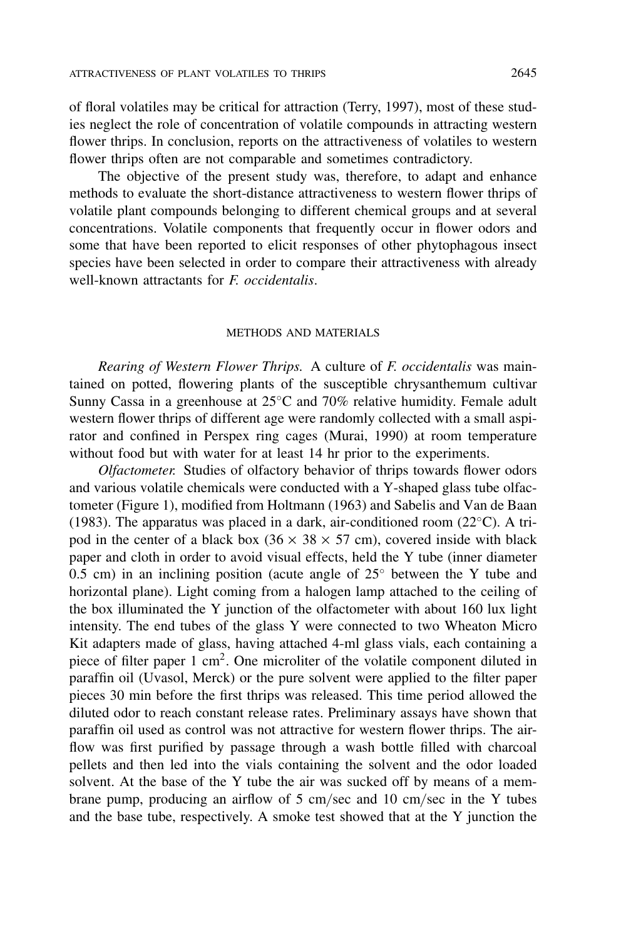of floral volatiles may be critical for attraction (Terry, 1997), most of these studies neglect the role of concentration of volatile compounds in attracting western flower thrips. In conclusion, reports on the attractiveness of volatiles to western flower thrips often are not comparable and sometimes contradictory.

The objective of the present study was, therefore, to adapt and enhance methods to evaluate the short-distance attractiveness to western flower thrips of volatile plant compounds belonging to different chemical groups and at several concentrations. Volatile components that frequently occur in flower odors and some that have been reported to elicit responses of other phytophagous insect species have been selected in order to compare their attractiveness with already well-known attractants for *F. occidentalis*.

## METHODS AND MATERIALS

*Rearing of Western Flower Thrips.* A culture of *F. occidentalis* was maintained on potted, flowering plants of the susceptible chrysanthemum cultivar Sunny Cassa in a greenhouse at  $25^{\circ}$ C and 70% relative humidity. Female adult western flower thrips of different age were randomly collected with a small aspirator and confined in Perspex ring cages (Murai, 1990) at room temperature without food but with water for at least 14 hr prior to the experiments.

*Olfactometer.* Studies of olfactory behavior of thrips towards flower odors and various volatile chemicals were conducted with a Y-shaped glass tube olfactometer (Figure 1), modified from Holtmann (1963) and Sabelis and Van de Baan (1983). The apparatus was placed in a dark, air-conditioned room ( $22^{\circ}$ C). A tripod in the center of a black box ( $36 \times 38 \times 57$  cm), covered inside with black paper and cloth in order to avoid visual effects, held the Y tube (inner diameter 0.5 cm) in an inclining position (acute angle of  $25^{\circ}$  between the Y tube and horizontal plane). Light coming from a halogen lamp attached to the ceiling of the box illuminated the Y junction of the olfactometer with about 160 lux light intensity. The end tubes of the glass Y were connected to two Wheaton Micro Kit adapters made of glass, having attached 4-ml glass vials, each containing a piece of filter paper 1 cm<sup>2</sup>. One microliter of the volatile component diluted in paraffin oil (Uvasol, Merck) or the pure solvent were applied to the filter paper pieces 30 min before the first thrips was released. This time period allowed the diluted odor to reach constant release rates. Preliminary assays have shown that paraffin oil used as control was not attractive for western flower thrips. The airflow was first purified by passage through a wash bottle filled with charcoal pellets and then led into the vials containing the solvent and the odor loaded solvent. At the base of the Y tube the air was sucked off by means of a membrane pump, producing an airflow of 5 cm/sec and 10 cm/sec in the Y tubes and the base tube, respectively. A smoke test showed that at the Y junction the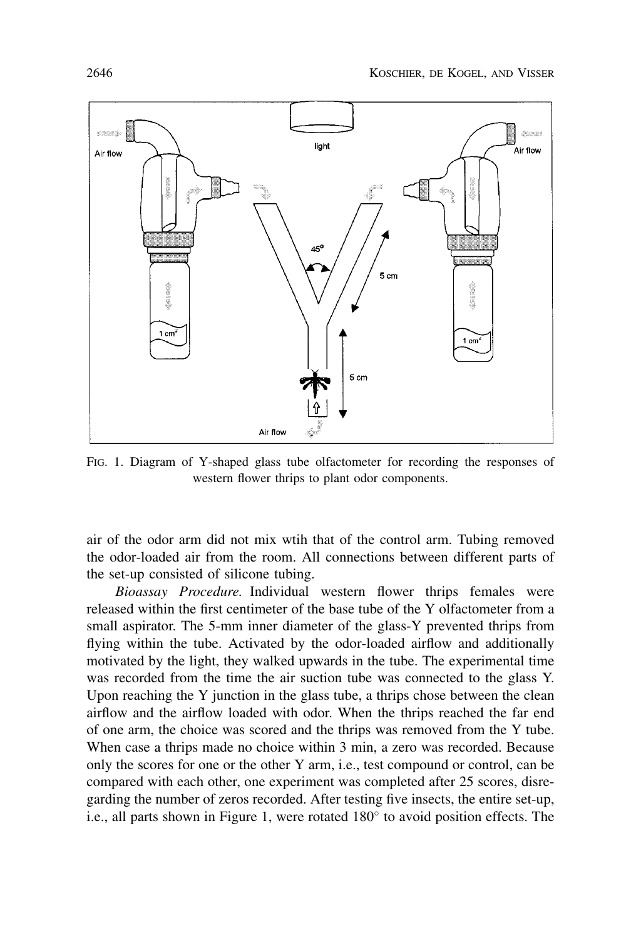

FIG. 1. Diagram of Y-shaped glass tube olfactometer for recording the responses of western flower thrips to plant odor components.

air of the odor arm did not mix wtih that of the control arm. Tubing removed the odor-loaded air from the room. All connections between different parts of the set-up consisted of silicone tubing.

*Bioassay Procedure.* Individual western flower thrips females were released within the first centimeter of the base tube of the Y olfactometer from a small aspirator. The 5-mm inner diameter of the glass-Y prevented thrips from flying within the tube. Activated by the odor-loaded airflow and additionally motivated by the light, they walked upwards in the tube. The experimental time was recorded from the time the air suction tube was connected to the glass Y. Upon reaching the Y junction in the glass tube, a thrips chose between the clean airflow and the airflow loaded with odor. When the thrips reached the far end of one arm, the choice was scored and the thrips was removed from the Y tube. When case a thrips made no choice within 3 min, a zero was recorded. Because only the scores for one or the other Y arm, i.e., test compound or control, can be compared with each other, one experiment was completed after 25 scores, disregarding the number of zeros recorded. After testing five insects, the entire set-up, i.e., all parts shown in Figure 1, were rotated  $180^\circ$  to avoid position effects. The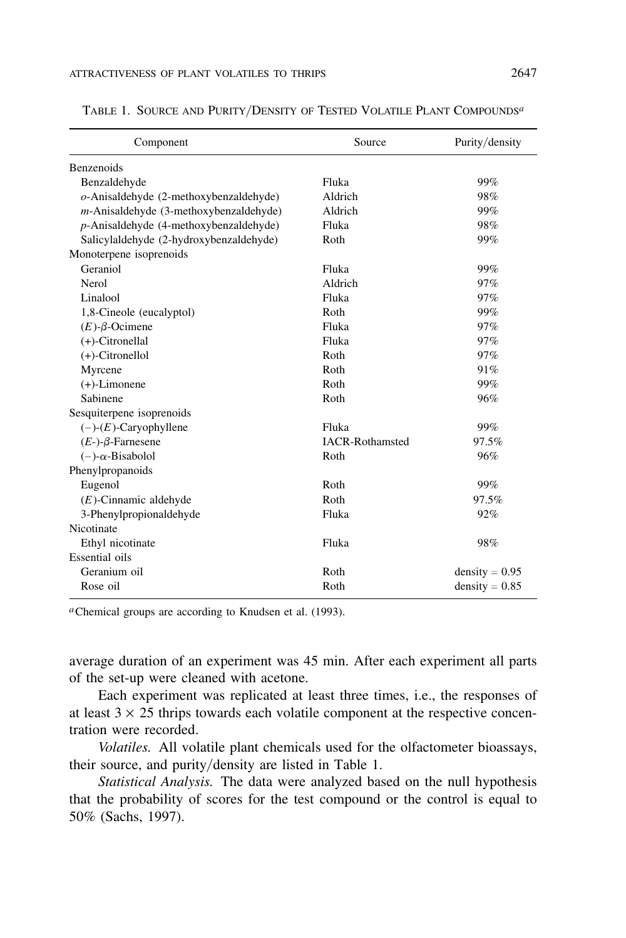| Component                                 | Source                 | Purity/density   |  |
|-------------------------------------------|------------------------|------------------|--|
| Benzenoids                                |                        |                  |  |
| Benzaldehyde                              | Fluka                  | 99%              |  |
| $o$ -Anisaldehyde (2-methoxybenzaldehyde) | Aldrich                | 98%              |  |
| $m$ -Anisaldehyde (3-methoxybenzaldehyde) | Aldrich                | 99%              |  |
| $p$ -Anisaldehyde (4-methoxybenzaldehyde) | Fluka                  | 98%              |  |
| Salicylaldehyde (2-hydroxybenzaldehyde)   | Roth                   | 99%              |  |
| Monoterpene isoprenoids                   |                        |                  |  |
| Geraniol                                  | Fluka                  | 99%              |  |
| Nerol                                     | Aldrich                | 97%              |  |
| Linalool                                  | Fluka                  | 97%              |  |
| 1,8-Cineole (eucalyptol)                  | Roth                   | 99%              |  |
| $(E)$ - $\beta$ -Ocimene                  | Fluka                  | 97%              |  |
| $(+)$ -Citronellal                        | Fluka                  | 97%              |  |
| $(+)$ -Citronellol                        | Roth                   | 97%              |  |
| Myrcene                                   | Roth                   | 91%              |  |
| $(+)$ -Limonene                           | Roth                   | 99%              |  |
| Sabinene                                  | Roth                   | 96%              |  |
| Sesquiterpene isoprenoids                 |                        |                  |  |
| $(-)$ - $(E)$ -Caryophyllene              | Fluka                  | 99%              |  |
| $(E-)$ - $\beta$ -Farnesene               | <b>IACR-Rothamsted</b> | 97.5%            |  |
| $(-)$ - $\alpha$ -Bisabolol               | Roth                   | 96%              |  |
| Phenylpropanoids                          |                        |                  |  |
| Eugenol                                   | Roth                   | 99%              |  |
| $(E)$ -Cinnamic aldehyde                  | Roth                   | 97.5%            |  |
| 3-Phenylpropionaldehyde                   | Fluka                  | 92%              |  |
| Nicotinate                                |                        |                  |  |
| Ethyl nicotinate                          | Fluka                  | 98%              |  |
| Essential oils                            |                        |                  |  |
| Geranium oil                              | Roth                   | density = $0.95$ |  |
| Rose oil                                  | Roth                   | $density = 0.85$ |  |

TABLE 1. SOURCE AND PURITY/DENSITY OF TESTED VOLATILE PLANT COMPOUNDS*<sup>a</sup>*

*a*Chemical groups are according to Knudsen et al. (1993).

average duration of an experiment was 45 min. After each experiment all parts of the set-up were cleaned with acetone.

Each experiment was replicated at least three times, i.e., the responses of at least  $3 \times 25$  thrips towards each volatile component at the respective concentration were recorded.

*Volatiles.* All volatile plant chemicals used for the olfactometer bioassays, their source, and purity/ density are listed in Table 1.

*Statistical Analysis.* The data were analyzed based on the null hypothesis that the probability of scores for the test compound or the control is equal to 50% (Sachs, 1997).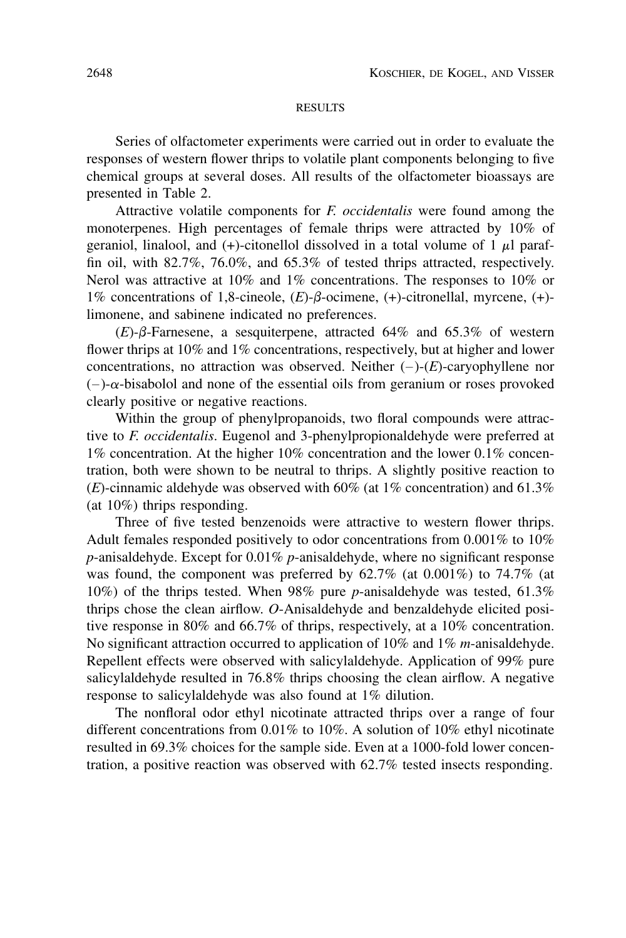## **RESULTS**

Series of olfactometer experiments were carried out in order to evaluate the responses of western flower thrips to volatile plant components belonging to five chemical groups at several doses. All results of the olfactometer bioassays are presented in Table 2.

Attractive volatile components for *F. occidentalis* were found among the monoterpenes. High percentages of female thrips were attracted by 10% of geraniol, linalool, and  $(+)$ -citonellol dissolved in a total volume of 1  $\mu$ l paraffin oil, with 82.7%, 76.0%, and 65.3% of tested thrips attracted, respectively. Nerol was attractive at 10% and 1% concentrations. The responses to 10% or 1% concentrations of 1,8-cineole,  $(E)$ - $\beta$ -ocimene,  $(+)$ -citronellal, myrcene,  $(+)$ limonene, and sabinene indicated no preferences.

 $(E)$ - $\beta$ -Farnesene, a sesquiterpene, attracted 64% and 65.3% of western flower thrips at 10% and 1% concentrations, respectively, but at higher and lower concentrations, no attraction was observed. Neither  $(-)$ - $(E)$ -caryophyllene nor  $(-)$ - $\alpha$ -bisabolol and none of the essential oils from geranium or roses provoked clearly positive or negative reactions.

Within the group of phenylpropanoids, two floral compounds were attractive to *F. occidentalis*. Eugenol and 3-phenylpropionaldehyde were preferred at 1% concentration. At the higher 10% concentration and the lower 0.1% concentration, both were shown to be neutral to thrips. A slightly positive reaction to  $(E)$ -cinnamic aldehyde was observed with 60% (at 1% concentration) and 61.3% (at 10%) thrips responding.

Three of five tested benzenoids were attractive to western flower thrips. Adult females responded positively to odor concentrations from 0.001% to 10% *p*-anisaldehyde. Except for 0.01% *p*-anisaldehyde, where no significant response was found, the component was preferred by  $62.7\%$  (at  $0.001\%$ ) to  $74.7\%$  (at 10%) of the thrips tested. When 98% pure *p*-anisaldehyde was tested, 61.3% thrips chose the clean airflow. *O*-Anisaldehyde and benzaldehyde elicited positive response in 80% and 66.7% of thrips, respectively, at a 10% concentration. No significant attraction occurred to application of 10% and 1% *m*-anisaldehyde. Repellent effects were observed with salicylaldehyde. Application of 99% pure salicylaldehyde resulted in 76.8% thrips choosing the clean airflow. A negative response to salicylaldehyde was also found at 1% dilution.

The nonfloral odor ethyl nicotinate attracted thrips over a range of four different concentrations from 0.01% to 10%. A solution of 10% ethyl nicotinate resulted in 69.3% choices for the sample side. Even at a 1000-fold lower concentration, a positive reaction was observed with 62.7% tested insects responding.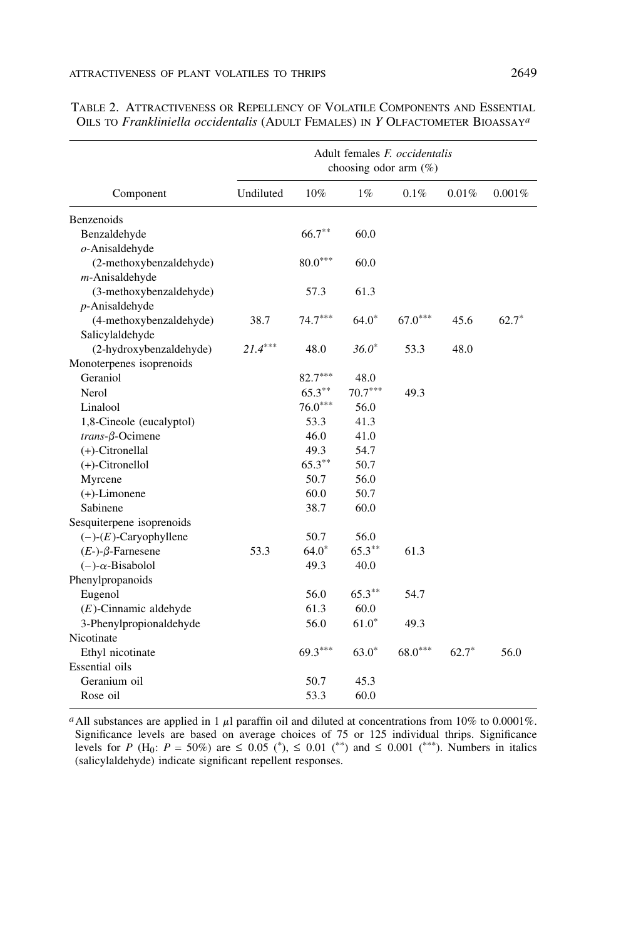|                              | Adult females <i>F. occidentalis</i><br>choosing odor arm $(\%)$ |           |           |           |         |         |
|------------------------------|------------------------------------------------------------------|-----------|-----------|-----------|---------|---------|
| Component                    | Undiluted                                                        | 10%       | $1\%$     | 0.1%      | 0.01%   | 0.001%  |
| Benzenoids                   |                                                                  |           |           |           |         |         |
| Benzaldehyde                 |                                                                  | $66.7***$ | 60.0      |           |         |         |
| $o$ -Anisaldehyde            |                                                                  |           |           |           |         |         |
| (2-methoxybenzaldehyde)      |                                                                  | $80.0***$ | 60.0      |           |         |         |
| $m$ -Anisaldehyde            |                                                                  |           |           |           |         |         |
| (3-methoxybenzaldehyde)      |                                                                  | 57.3      | 61.3      |           |         |         |
| $p$ -Anisaldehyde            |                                                                  |           |           |           |         |         |
| (4-methoxybenzaldehyde)      | 38.7                                                             | $74.7***$ | $64.0*$   | $67.0***$ | 45.6    | $62.7*$ |
| Salicylaldehyde              |                                                                  |           |           |           |         |         |
| (2-hydroxybenzaldehyde)      | $21.4***$                                                        | 48.0      | $36.0*$   | 53.3      | 48.0    |         |
| Monoterpenes isoprenoids     |                                                                  |           |           |           |         |         |
| Geraniol                     |                                                                  | $82.7***$ | 48.0      |           |         |         |
| Nerol                        |                                                                  | $65.3***$ | $70.7***$ | 49.3      |         |         |
| Linalool                     |                                                                  | $76.0***$ | 56.0      |           |         |         |
| 1,8-Cineole (eucalyptol)     |                                                                  | 53.3      | 41.3      |           |         |         |
| $trans-\beta-Ocimene$        |                                                                  | 46.0      | 41.0      |           |         |         |
| $(+)$ -Citronellal           |                                                                  | 49.3      | 54.7      |           |         |         |
| $(+)$ -Citronellol           |                                                                  | $65.3***$ | 50.7      |           |         |         |
| Myrcene                      |                                                                  | 50.7      | 56.0      |           |         |         |
| $(+)$ -Limonene              |                                                                  | 60.0      | 50.7      |           |         |         |
| Sabinene                     |                                                                  | 38.7      | 60.0      |           |         |         |
| Sesquiterpene isoprenoids    |                                                                  |           |           |           |         |         |
| $(-)$ - $(E)$ -Caryophyllene |                                                                  | 50.7      | 56.0      |           |         |         |
| $(E-)$ - $\beta$ -Farnesene  | 53.3                                                             | $64.0*$   | $65.3***$ | 61.3      |         |         |
| $(-)$ - $\alpha$ -Bisabolol  |                                                                  | 49.3      | 40.0      |           |         |         |
| Phenylpropanoids             |                                                                  |           |           |           |         |         |
| Eugenol                      |                                                                  | 56.0      | $65.3**$  | 54.7      |         |         |
| $(E)$ -Cinnamic aldehyde     |                                                                  | 61.3      | 60.0      |           |         |         |
| 3-Phenylpropionaldehyde      |                                                                  | 56.0      | $61.0*$   | 49.3      |         |         |
| Nicotinate                   |                                                                  |           |           |           |         |         |
| Ethyl nicotinate             |                                                                  | 69.3***   | $63.0*$   | $68.0***$ | $62.7*$ | 56.0    |
| Essential oils               |                                                                  |           |           |           |         |         |
| Geranium oil                 |                                                                  | 50.7      | 45.3      |           |         |         |
| Rose oil                     |                                                                  | 53.3      | 60.0      |           |         |         |

| TABLE 2. ATTRACTIVENESS OR REPELLENCY OF VOLATILE COMPONENTS AND ESSENTIAL                 |  |  |
|--------------------------------------------------------------------------------------------|--|--|
| OILS TO Frankliniella occidentalis (ADULT FEMALES) IN Y OLFACTOMETER BIOASSAY <sup>a</sup> |  |  |

<sup>*a*</sup>All substances are applied in 1  $\mu$ l paraffin oil and diluted at concentrations from 10% to 0.0001%. Significance levels are based on average choices of 75 or 125 individual thrips. Significance levels for *P* (H<sub>0</sub>: *P* = 50%) are  $\leq 0.05$  (\*),  $\leq 0.01$  (\*\*) and  $\leq 0.001$  (\*\*\*). Numbers in italics (salicylaldehyde) indicate significant repellent responses.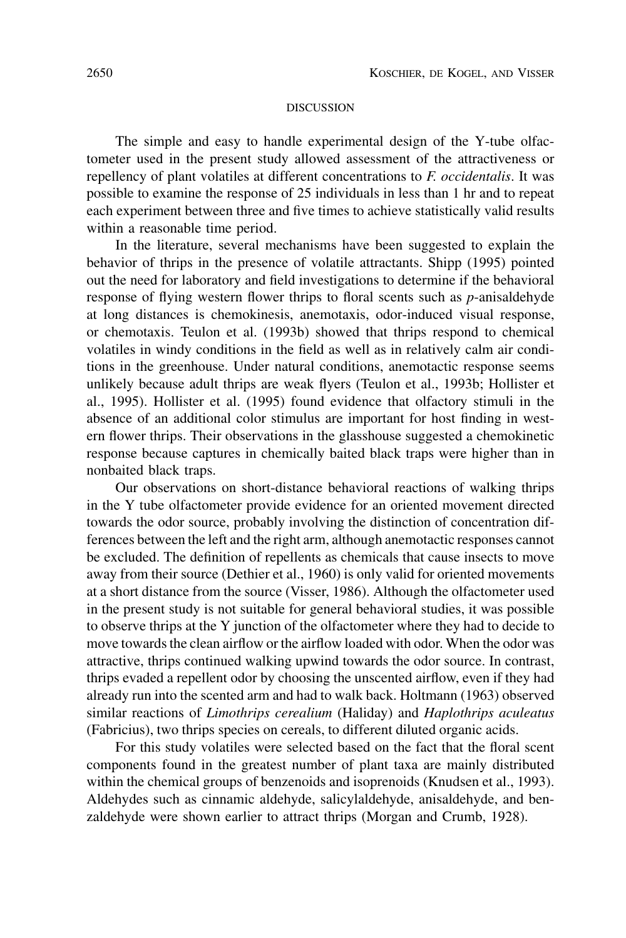## DISCUSSION

The simple and easy to handle experimental design of the Y-tube olfactometer used in the present study allowed assessment of the attractiveness or repellency of plant volatiles at different concentrations to *F. occidentalis*. It was possible to examine the response of 25 individuals in less than 1 hr and to repeat each experiment between three and five times to achieve statistically valid results within a reasonable time period.

In the literature, several mechanisms have been suggested to explain the behavior of thrips in the presence of volatile attractants. Shipp (1995) pointed out the need for laboratory and field investigations to determine if the behavioral response of flying western flower thrips to floral scents such as *p*-anisaldehyde at long distances is chemokinesis, anemotaxis, odor-induced visual response, or chemotaxis. Teulon et al. (1993b) showed that thrips respond to chemical volatiles in windy conditions in the field as well as in relatively calm air conditions in the greenhouse. Under natural conditions, anemotactic response seems unlikely because adult thrips are weak flyers (Teulon et al., 1993b; Hollister et al., 1995). Hollister et al. (1995) found evidence that olfactory stimuli in the absence of an additional color stimulus are important for host finding in western flower thrips. Their observations in the glasshouse suggested a chemokinetic response because captures in chemically baited black traps were higher than in nonbaited black traps.

Our observations on short-distance behavioral reactions of walking thrips in the Y tube olfactometer provide evidence for an oriented movement directed towards the odor source, probably involving the distinction of concentration differences between the left and the right arm, although anemotactic responses cannot be excluded. The definition of repellents as chemicals that cause insects to move away from their source (Dethier et al., 1960) is only valid for oriented movements at a short distance from the source (Visser, 1986). Although the olfactometer used in the present study is not suitable for general behavioral studies, it was possible to observe thrips at the Y junction of the olfactometer where they had to decide to move towards the clean airflow or the airflow loaded with odor. When the odor was attractive, thrips continued walking upwind towards the odor source. In contrast, thrips evaded a repellent odor by choosing the unscented airflow, even if they had already run into the scented arm and had to walk back. Holtmann (1963) observed similar reactions of *Limothrips cerealium* (Haliday) and *Haplothrips aculeatus* (Fabricius), two thrips species on cereals, to different diluted organic acids.

For this study volatiles were selected based on the fact that the floral scent components found in the greatest number of plant taxa are mainly distributed within the chemical groups of benzenoids and isoprenoids (Knudsen et al., 1993). Aldehydes such as cinnamic aldehyde, salicylaldehyde, anisaldehyde, and benzaldehyde were shown earlier to attract thrips (Morgan and Crumb, 1928).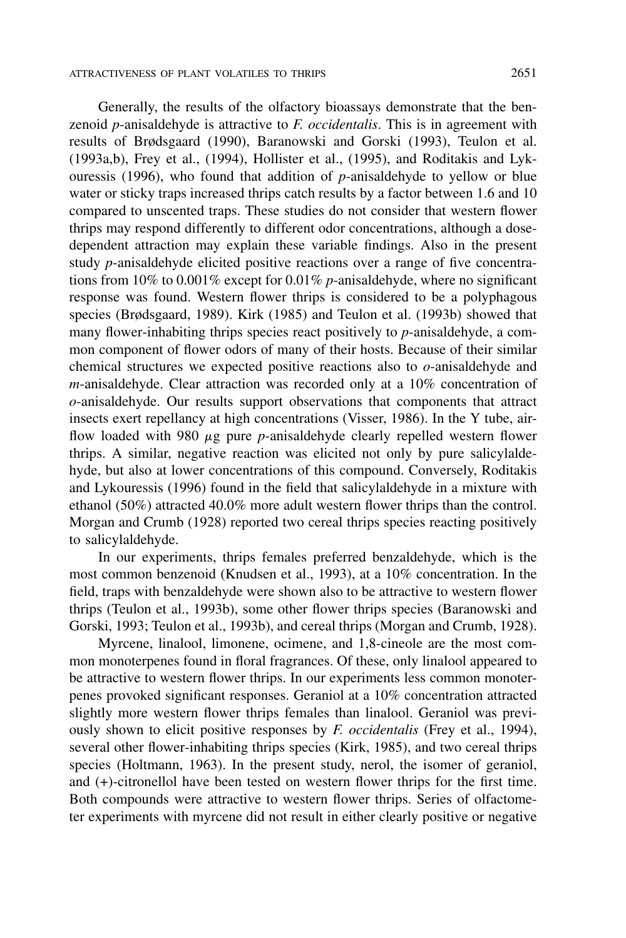Generally, the results of the olfactory bioassays demonstrate that the benzenoid *p*-anisaldehyde is attractive to *F. occidentalis*. This is in agreement with results of Brødsgaard (1990), Baranowski and Gorski (1993), Teulon et al. (1993a,b), Frey et al., (1994), Hollister et al., (1995), and Roditakis and Lykouressis (1996), who found that addition of *p*-anisaldehyde to yellow or blue water or sticky traps increased thrips catch results by a factor between 1.6 and 10 compared to unscented traps. These studies do not consider that western flower thrips may respond differently to different odor concentrations, although a dosedependent attraction may explain these variable findings. Also in the present study *p*-anisaldehyde elicited positive reactions over a range of five concentrations from 10% to 0.001% except for 0.01% *p*-anisaldehyde, where no significant response was found. Western flower thrips is considered to be a polyphagous species (Brødsgaard, 1989). Kirk (1985) and Teulon et al. (1993b) showed that many flower-inhabiting thrips species react positively to *p*-anisaldehyde, a common component of flower odors of many of their hosts. Because of their similar chemical structures we expected positive reactions also to *o*-anisaldehyde and *m*-anisaldehyde. Clear attraction was recorded only at a 10% concentration of *o*-anisaldehyde. Our results support observations that components that attract insects exert repellancy at high concentrations (Visser, 1986). In the Y tube, airflow loaded with 980  $\mu$ g pure *p*-anisaldehyde clearly repelled western flower thrips. A similar, negative reaction was elicited not only by pure salicylaldehyde, but also at lower concentrations of this compound. Conversely, Roditakis and Lykouressis (1996) found in the field that salicylaldehyde in a mixture with ethanol (50%) attracted 40.0% more adult western flower thrips than the control. Morgan and Crumb (1928) reported two cereal thrips species reacting positively to salicylaldehyde.

In our experiments, thrips females preferred benzaldehyde, which is the most common benzenoid (Knudsen et al., 1993), at a 10% concentration. In the field, traps with benzaldehyde were shown also to be attractive to western flower thrips (Teulon et al., 1993b), some other flower thrips species (Baranowski and Gorski, 1993; Teulon et al., 1993b), and cereal thrips (Morgan and Crumb, 1928).

Myrcene, linalool, limonene, ocimene, and 1,8-cineole are the most common monoterpenes found in floral fragrances. Of these, only linalool appeared to be attractive to western flower thrips. In our experiments less common monoterpenes provoked significant responses. Geraniol at a 10% concentration attracted slightly more western flower thrips females than linalool. Geraniol was previously shown to elicit positive responses by *F. occidentalis* (Frey et al., 1994), several other flower-inhabiting thrips species (Kirk, 1985), and two cereal thrips species (Holtmann, 1963). In the present study, nerol, the isomer of geraniol, and (+)-citronellol have been tested on western flower thrips for the first time. Both compounds were attractive to western flower thrips. Series of olfactometer experiments with myrcene did not result in either clearly positive or negative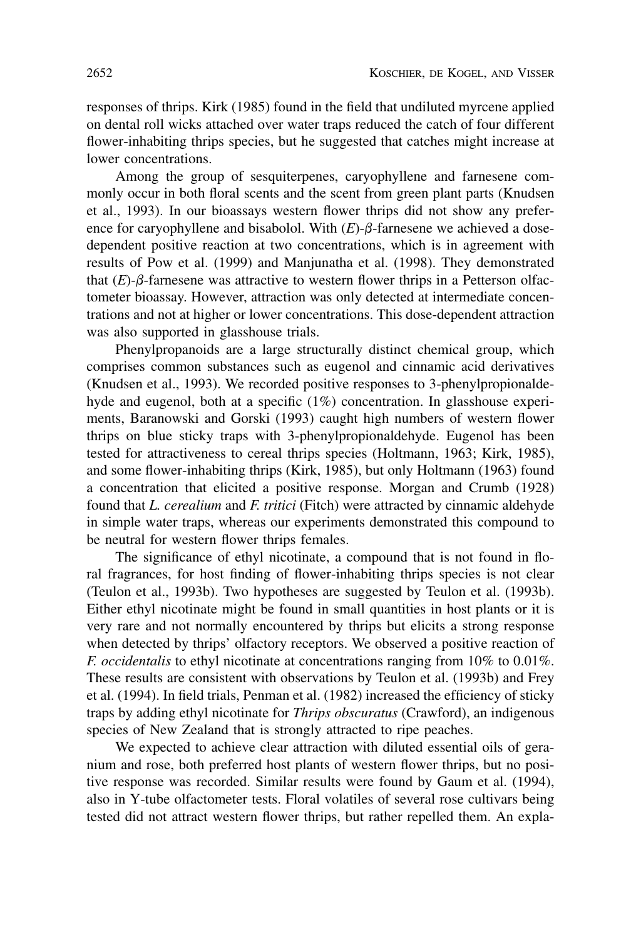responses of thrips. Kirk (1985) found in the field that undiluted myrcene applied on dental roll wicks attached over water traps reduced the catch of four different flower-inhabiting thrips species, but he suggested that catches might increase at lower concentrations.

Among the group of sesquiterpenes, caryophyllene and farnesene commonly occur in both floral scents and the scent from green plant parts (Knudsen et al., 1993). In our bioassays western flower thrips did not show any preference for caryophyllene and bisabolol. With  $(E)$ - $\beta$ -farnesene we achieved a dosedependent positive reaction at two concentrations, which is in agreement with results of Pow et al. (1999) and Manjunatha et al. (1998). They demonstrated that  $(E)$ - $\beta$ -farnesene was attractive to western flower thrips in a Petterson olfactometer bioassay. However, attraction was only detected at intermediate concentrations and not at higher or lower concentrations. This dose-dependent attraction was also supported in glasshouse trials.

Phenylpropanoids are a large structurally distinct chemical group, which comprises common substances such as eugenol and cinnamic acid derivatives (Knudsen et al., 1993). We recorded positive responses to 3-phenylpropionaldehyde and eugenol, both at a specific (1%) concentration. In glasshouse experiments, Baranowski and Gorski (1993) caught high numbers of western flower thrips on blue sticky traps with 3-phenylpropionaldehyde. Eugenol has been tested for attractiveness to cereal thrips species (Holtmann, 1963; Kirk, 1985), and some flower-inhabiting thrips (Kirk, 1985), but only Holtmann (1963) found a concentration that elicited a positive response. Morgan and Crumb (1928) found that *L. cerealium* and *F. tritici* (Fitch) were attracted by cinnamic aldehyde in simple water traps, whereas our experiments demonstrated this compound to be neutral for western flower thrips females.

The significance of ethyl nicotinate, a compound that is not found in floral fragrances, for host finding of flower-inhabiting thrips species is not clear (Teulon et al., 1993b). Two hypotheses are suggested by Teulon et al. (1993b). Either ethyl nicotinate might be found in small quantities in host plants or it is very rare and not normally encountered by thrips but elicits a strong response when detected by thrips' olfactory receptors. We observed a positive reaction of *F. occidentalis* to ethyl nicotinate at concentrations ranging from 10% to 0.01%. These results are consistent with observations by Teulon et al. (1993b) and Frey et al. (1994). In field trials, Penman et al. (1982) increased the efficiency of sticky traps by adding ethyl nicotinate for *Thrips obscuratus* (Crawford), an indigenous species of New Zealand that is strongly attracted to ripe peaches.

We expected to achieve clear attraction with diluted essential oils of geranium and rose, both preferred host plants of western flower thrips, but no positive response was recorded. Similar results were found by Gaum et al. (1994), also in Y-tube olfactometer tests. Floral volatiles of several rose cultivars being tested did not attract western flower thrips, but rather repelled them. An expla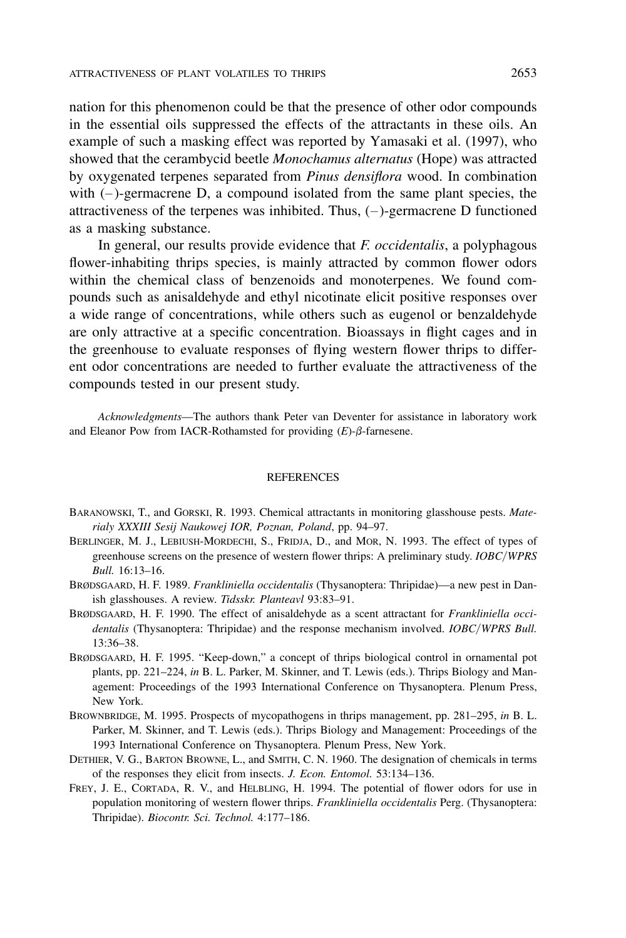nation for this phenomenon could be that the presence of other odor compounds in the essential oils suppressed the effects of the attractants in these oils. An example of such a masking effect was reported by Yamasaki et al. (1997), who showed that the cerambycid beetle *Monochamus alternatus* (Hope) was attracted by oxygenated terpenes separated from *Pinus densiflora* wood. In combination with  $(-)$ -germacrene D, a compound isolated from the same plant species, the attractiveness of the terpenes was inhibited. Thus,  $(-)$ -germacrene D functioned as a masking substance.

In general, our results provide evidence that *F. occidentalis*, a polyphagous flower-inhabiting thrips species, is mainly attracted by common flower odors within the chemical class of benzenoids and monoterpenes. We found compounds such as anisaldehyde and ethyl nicotinate elicit positive responses over a wide range of concentrations, while others such as eugenol or benzaldehyde are only attractive at a specific concentration. Bioassays in flight cages and in the greenhouse to evaluate responses of flying western flower thrips to different odor concentrations are needed to further evaluate the attractiveness of the compounds tested in our present study.

*Acknowledgments*—The authors thank Peter van Deventer for assistance in laboratory work and Eleanor Pow from IACR-Rothamsted for providing  $(E)$ - $\beta$ -farnesene.

### REFERENCES

- BARANOWSKI, T., and GORSKI, R. 1993. Chemical attractants in monitoring glasshouse pests. *Materialy XXXIII Sesij Naukowej IOR, Poznan, Poland*, pp. 94–97.
- BERLINGER, M. J., LEBIUSH-MORDECHI, S., FRIDJA, D., and MOR, N. 1993. The effect of types of greenhouse screens on the presence of western flower thrips: A preliminary study. *IOBC*/ *WPRS Bull.* 16:13–16.
- BRØDSGAARD, H. F. 1989. *Frankliniella occidentalis* (Thysanoptera: Thripidae)—a new pest in Danish glasshouses. A review. *Tidsskr. Planteavl* 93:83–91.
- BRØDSGAARD, H. F. 1990. The effect of anisaldehyde as a scent attractant for *Frankliniella occidentalis* (Thysanoptera: Thripidae) and the response mechanism involved. *IOBC*/ *WPRS Bull.* 13:36–38.
- BRØDSGAARD, H. F. 1995. "Keep-down," a concept of thrips biological control in ornamental pot plants, pp. 221–224, *in* B. L. Parker, M. Skinner, and T. Lewis (eds.). Thrips Biology and Management: Proceedings of the 1993 International Conference on Thysanoptera. Plenum Press, New York.
- BROWNBRIDGE, M. 1995. Prospects of mycopathogens in thrips management, pp. 281–295, *in* B. L. Parker, M. Skinner, and T. Lewis (eds.). Thrips Biology and Management: Proceedings of the 1993 International Conference on Thysanoptera. Plenum Press, New York.
- DETHIER, V. G., BARTON BROWNE, L., and SMITH, C. N. 1960. The designation of chemicals in terms of the responses they elicit from insects. *J. Econ. Entomol.* 53:134–136.
- FREY, J. E., CORTADA, R. V., and HELBLING, H. 1994. The potential of flower odors for use in population monitoring of western flower thrips. *Frankliniella occidentalis* Perg. (Thysanoptera: Thripidae). *Biocontr. Sci. Technol.* 4:177–186.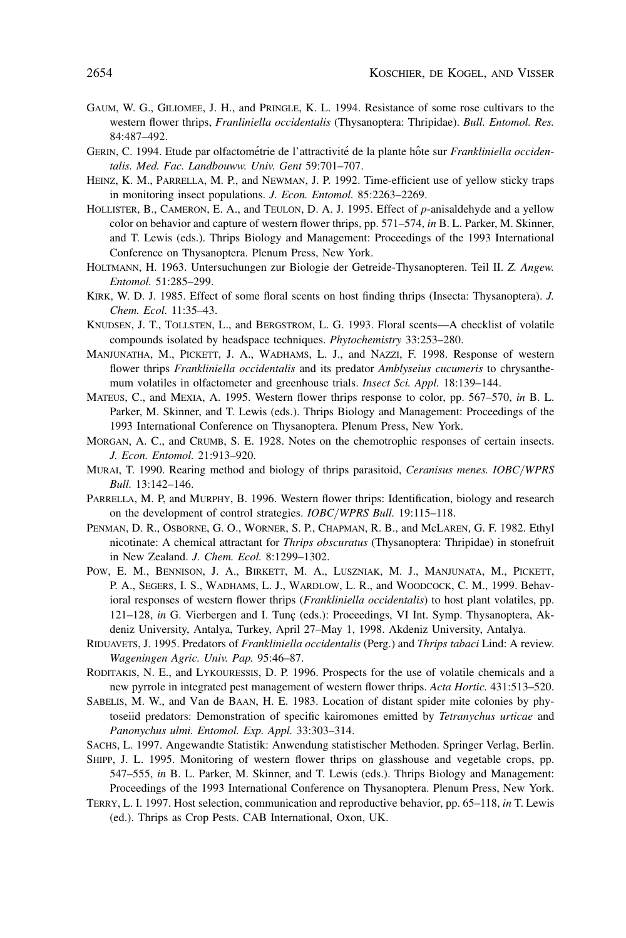- GAUM, W. G., GILIOMEE, J. H., and PRINGLE, K. L. 1994. Resistance of some rose cultivars to the western flower thrips, *Franliniella occidentalis* (Thysanoptera: Thripidae). *Bull. Entomol. Res.* 84:487–492.
- GERIN, C. 1994. Etude par olfactométrie de l'attractivité de la plante hôte sur *Frankliniella occidentalis. Med. Fac. Landbouww. Univ. Gent* 59:701–707.
- HEINZ, K. M., PARRELLA, M. P., and NEWMAN, J. P. 1992. Time-efficient use of yellow sticky traps in monitoring insect populations. *J. Econ. Entomol.* 85:2263–2269.
- HOLLISTER, B., CAMERON, E. A., and TEULON, D. A. J. 1995. Effect of *p*-anisaldehyde and a yellow color on behavior and capture of western flower thrips, pp. 571–574, *in* B. L. Parker, M. Skinner, and T. Lewis (eds.). Thrips Biology and Management: Proceedings of the 1993 International Conference on Thysanoptera. Plenum Press, New York.
- HOLTMANN, H. 1963. Untersuchungen zur Biologie der Getreide-Thysanopteren. Teil II. *Z. Angew. Entomol.* 51:285–299.
- KIRK, W. D. J. 1985. Effect of some floral scents on host finding thrips (Insecta: Thysanoptera). *J. Chem. Ecol.* 11:35–43.
- KNUDSEN, J. T., TOLLSTEN, L., and BERGSTROM, L. G. 1993. Floral scents—A checklist of volatile compounds isolated by headspace techniques. *Phytochemistry* 33:253–280.
- MANJUNATHA, M., PICKETT, J. A., WADHAMS, L. J., and NAZZI, F. 1998. Response of western flower thrips *Frankliniella occidentalis* and its predator *Amblyseius cucumeris* to chrysanthemum volatiles in olfactometer and greenhouse trials. *Insect Sci. Appl.* 18:139–144.
- MATEUS, C., and MEXIA, A. 1995. Western flower thrips response to color, pp. 567–570, *in* B. L. Parker, M. Skinner, and T. Lewis (eds.). Thrips Biology and Management: Proceedings of the 1993 International Conference on Thysanoptera. Plenum Press, New York.
- MORGAN, A. C., and CRUMB, S. E. 1928. Notes on the chemotrophic responses of certain insects. *J. Econ. Entomol.* 21:913–920.
- MURAI, T. 1990. Rearing method and biology of thrips parasitoid, *Ceranisus menes. IOBC*/ *WPRS Bull.* 13:142–146.
- PARRELLA, M. P, and MURPHY, B. 1996. Western flower thrips: Identification, biology and research on the development of control strategies. *IOBC*/ *WPRS Bull.* 19:115–118.
- PENMAN, D. R., OSBORNE, G. O., WORNER, S. P., CHAPMAN, R. B., and McLAREN, G. F. 1982. Ethyl nicotinate: A chemical attractant for *Thrips obscuratus* (Thysanoptera: Thripidae) in stonefruit in New Zealand. *J. Chem. Ecol.* 8:1299–1302.
- POW, E. M., BENNISON, J. A., BIRKETT, M. A., LUSZNIAK, M. J., MANJUNATA, M., PICKETT, P. A., SEGERS, I. S., WADHAMS, L. J., WARDLOW, L. R., and WOODCOCK, C. M., 1999. Behavioral responses of western flower thrips (*Frankliniella occidentalis*) to host plant volatiles, pp. 121–128, *in* G. Vierbergen and I. Tunç (eds.): Proceedings, VI Int. Symp. Thysanoptera, Akdeniz University, Antalya, Turkey, April 27–May 1, 1998. Akdeniz University, Antalya.
- RIDUAVETS, J. 1995. Predators of *Frankliniella occidentalis* (Perg.) and *Thrips tabaci* Lind: A review. *Wageningen Agric. Univ. Pap.* 95:46–87.
- RODITAKIS, N. E., and LYKOURESSIS, D. P. 1996. Prospects for the use of volatile chemicals and a new pyrrole in integrated pest management of western flower thrips. *Acta Hortic.* 431:513–520.
- SABELIS, M. W., and Van de BAAN, H. E. 1983. Location of distant spider mite colonies by phytoseiid predators: Demonstration of specific kairomones emitted by *Tetranychus urticae* and *Panonychus ulmi. Entomol. Exp. Appl.* 33:303–314.
- SACHS, L. 1997. Angewandte Statistik: Anwendung statistischer Methoden. Springer Verlag, Berlin.
- SHIPP, J. L. 1995. Monitoring of western flower thrips on glasshouse and vegetable crops, pp. 547–555, *in* B. L. Parker, M. Skinner, and T. Lewis (eds.). Thrips Biology and Management: Proceedings of the 1993 International Conference on Thysanoptera. Plenum Press, New York.
- TERRY, L. I. 1997. Host selection, communication and reproductive behavior, pp. 65–118, *in* T. Lewis (ed.). Thrips as Crop Pests. CAB International, Oxon, UK.